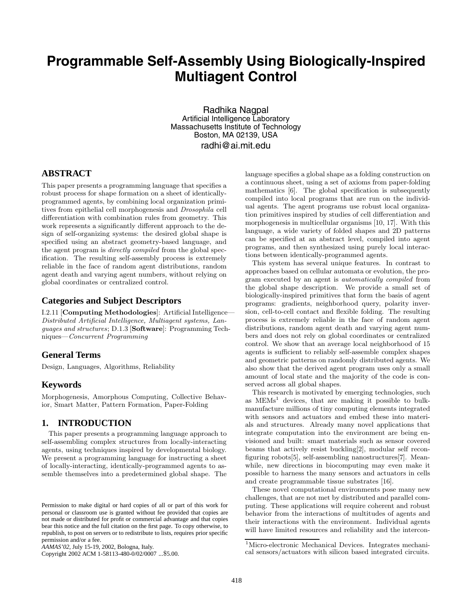# **Programmable Self-Assembly Using Biologically-Inspired Multiagent Control**

Radhika Nagpal Artificial Intelligence Laboratory Massachusetts Institute of Technology Boston, MA 02139, USA radhi@ai.mit.edu

## **ABSTRACT**

This paper presents a programming language that specifies a robust process for shape formation on a sheet of identicallyprogrammed agents, by combining local organization primitives from epithelial cell morphogenesis and Drosophila cell differentiation with combination rules from geometry. This work represents a significantly different approach to the design of self-organizing systems: the desired global shape is specified using an abstract geometry-based language, and the agent program is directly compiled from the global specification. The resulting self-assembly process is extremely reliable in the face of random agent distributions, random agent death and varying agent numbers, without relying on global coordinates or centralized control.

### **Categories and Subject Descriptors**

I.2.11 [**Computing Methodologies**]: Artificial Intelligence— Distributed Artificial Intelligence, Multiagent systems, Languages and structures; D.1.3 [**Software**]: Programming Techniques—Concurrent Programming

### **General Terms**

Design, Languages, Algorithms, Reliability

#### **Keywords**

Morphogenesis, Amorphous Computing, Collective Behavior, Smart Matter, Pattern Formation, Paper-Folding

### **1. INTRODUCTION**

This paper presents a programming language approach to self-assembling complex structures from locally-interacting agents, using techniques inspired by developmental biology. We present a programming language for instructing a sheet of locally-interacting, identically-programmed agents to assemble themselves into a predetermined global shape. The

Copyright 2002 ACM 1-58113-480-0/02/0007 ...\$5.00.

language specifies a global shape as a folding construction on a continuous sheet, using a set of axioms from paper-folding mathematics [6]. The global specification is subsequently compiled into local programs that are run on the individual agents. The agent programs use robust local organization primitives inspired by studies of cell differentiation and morphogenesis in multicellular organisms [10, 17]. With this language, a wide variety of folded shapes and 2D patterns can be specified at an abstract level, compiled into agent programs, and then synthesized using purely local interactions between identically-programmed agents.

This system has several unique features. In contrast to approaches based on cellular automata or evolution, the program executed by an agent is automatically compiled from the global shape description. We provide a small set of biologically-inspired primitives that form the basis of agent programs: gradients, neighborhood query, polarity inversion, cell-to-cell contact and flexible folding. The resulting process is extremely reliable in the face of random agent distributions, random agent death and varying agent numbers and does not rely on global coordinates or centralized control. We show that an average local neighborhood of 15 agents is sufficient to reliably self-assemble complex shapes and geometric patterns on randomly distributed agents. We also show that the derived agent program uses only a small amount of local state and the majority of the code is conserved across all global shapes.

This research is motivated by emerging technologies, such as  $MEMs<sup>1</sup>$  devices, that are making it possible to bulkmanufacture millions of tiny computing elements integrated with sensors and actuators and embed these into materials and structures. Already many novel applications that integrate computation into the environment are being envisioned and built: smart materials such as sensor covered beams that actively resist buckling[2], modular self reconfiguring robots[5], self-assembling nanostructures[7]. Meanwhile, new directions in biocomputing may even make it possible to harness the many sensors and actuators in cells and create programmable tissue substrates [16].

These novel computational environments pose many new challenges, that are not met by distributed and parallel computing. These applications will require coherent and robust behavior from the interactions of multitudes of agents and their interactions with the environment. Individual agents will have limited resources and reliability and the intercon-

Permission to make digital or hard copies of all or part of this work for personal or classroom use is granted without fee provided that copies are not made or distributed for profit or commercial advantage and that copies bear this notice and the full citation on the first page. To copy otherwise, to republish, to post on servers or to redistribute to lists, requires prior specific permission and/or a fee.

*AAMAS'02,* July 15-19, 2002, Bologna, Italy.

<sup>&</sup>lt;sup>1</sup>Micro-electronic Mechanical Devices. Integrates mechanical sensors/actuators with silicon based integrated circuits.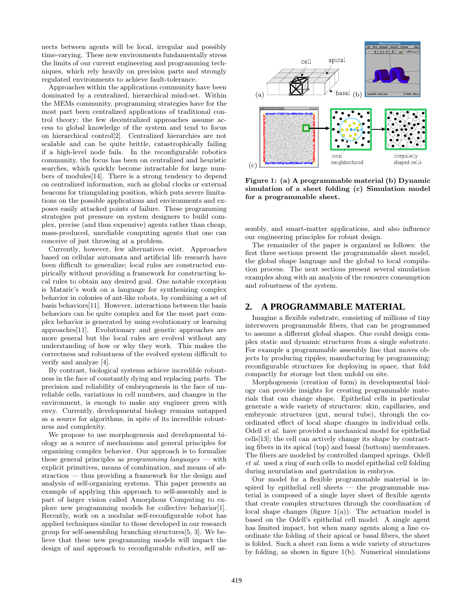nects between agents will be local, irregular and possibly time-varying. These new environments fundamentally stress the limits of our current engineering and programming techniques, which rely heavily on precision parts and strongly regulated environments to achieve fault-tolerance.

Approaches within the applications community have been dominated by a centralized, hierarchical mind-set. Within the MEMs community, programming strategies have for the most part been centralized applications of traditional control theory; the few decentralized approaches assume access to global knowledge of the system and tend to focus on hierarchical control[2]. Centralized hierarchies are not scalable and can be quite brittle, catastrophically failing if a high-level node fails. In the reconfigurable robotics community, the focus has been on centralized and heuristic searches, which quickly become intractable for large numbers of modules[14]. There is a strong tendency to depend on centralized information, such as global clocks or external beacons for triangulating position, which puts severe limitations on the possible applications and environments and exposes easily attacked points of failure. These programming strategies put pressure on system designers to build complex, precise (and thus expensive) agents rather than cheap, mass-produced, unreliable computing agents that one can conceive of just throwing at a problem.

Currently, however, few alternatives exist. Approaches based on cellular automata and artificial life research have been difficult to generalize; local rules are constructed empirically without providing a framework for constructing local rules to obtain any desired goal. One notable exception is Mataric's work on a language for synthesizing complex behavior in colonies of ant-like robots, by combining a set of basis behaviors[11]. However, interactions between the basis behaviors can be quite complex and for the most part complex behavior is generated by using evolutionary or learning approaches[11]. Evolutionary and genetic approaches are more general but the local rules are evolved without any understanding of how or why they work. This makes the correctness and robustness of the evolved system difficult to verify and analyze [4].

By contrast, biological systems achieve incredible robustness in the face of constantly dying and replacing parts. The precision and reliability of embryogenesis in the face of unreliable cells, variations in cell numbers, and changes in the environment, is enough to make any engineer green with envy. Currently, developmental biology remains untapped as a source for algorithms, in spite of its incredible robustness and complexity.

We propose to use morphogenesis and developmental biology as a source of mechanisms and general principles for organizing complex behavior. Our approach is to formalize these general principles as *programming languages* — with explicit primitives, means of combination, and means of abstraction — thus providing a framework for the design and analysis of self-organizing systems. This paper presents an example of applying this approach to self-assembly and is part of larger vision called Amorphous Computing to explore new programming models for collective behavior[1]. Recently, work on a modular self-reconfigurable robot has applied techniques similar to those developed in our research group for self-assembling branching structures[5, 3]. We believe that these new programming models will impact the design of and approach to reconfigurable robotics, self as-



**Figure 1: (a) A programmable material (b) Dynamic simulation of a sheet folding (c) Simulation model for a programmable sheet.**

sembly, and smart-matter applications, and also influence our engineering principles for robust design.

The remainder of the paper is organized as follows: the first three sections present the programmable sheet model, the global shape language and the global to local compilation process. The next sections present several simulation examples along with an analysis of the resource consumption and robustness of the system.

### **2. A PROGRAMMABLE MATERIAL**

Imagine a flexible substrate, consisting of millions of tiny interwoven programmable fibers, that can be programmed to assume a different global shapes. One could design complex static and dynamic structures from a single substrate. For example a programmable assembly line that moves objects by producing ripples; manufacturing by programming; reconfigurable structures for deploying in space, that fold compactly for storage but then unfold on site.

Morphogenesis (creation of form) in developmental biology can provide insights for creating programmable materials that can change shape. Epithelial cells in particular generate a wide variety of structures: skin, capillaries, and embryonic structures (gut, neural tube), through the coordinated effect of local shape changes in individual cells. Odell et al. have provided a mechanical model for epithelial cells[13]; the cell can actively change its shape by contracting fibers in its apical (top) and basal (bottom) membranes. The fibers are modeled by controlled damped springs. Odell et al. used a ring of such cells to model epithelial cell folding during neurulation and gastrulation in embryos.

Our model for a flexible programmable material is inspired by epithelial cell sheets  $-$  the programmable material is composed of a single layer sheet of flexible agents that create complex structures through the coordination of local shape changes (figure  $1(a)$ ). The actuation model is based on the Odell's epithelial cell model. A single agent has limited impact, but when many agents along a line coordinate the folding of their apical or basal fibers, the sheet is folded. Such a sheet can form a wide variety of structures by folding, as shown in figure 1(b). Numerical simulations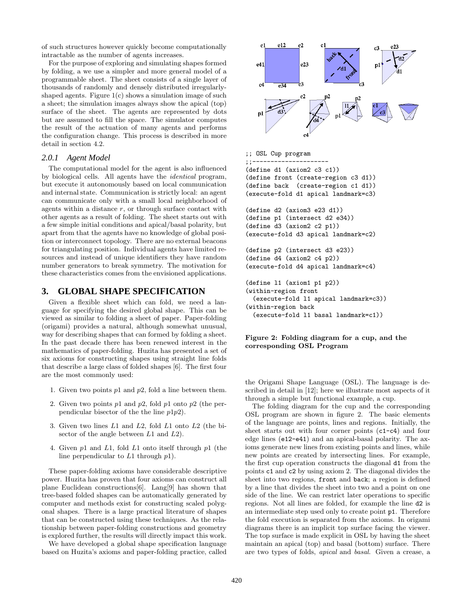of such structures however quickly become computationally intractable as the number of agents increases.

For the purpose of exploring and simulating shapes formed by folding, a we use a simpler and more general model of a programmable sheet. The sheet consists of a single layer of thousands of randomly and densely distributed irregularlyshaped agents. Figure 1(c) shows a simulation image of such a sheet; the simulation images always show the apical (top) surface of the sheet. The agents are represented by dots but are assumed to fill the space. The simulator computes the result of the actuation of many agents and performs the configuration change. This process is described in more detail in section 4.2.

#### *2.0.1 Agent Model*

The computational model for the agent is also influenced by biological cells. All agents have the identical program, but execute it autonomously based on local communication and internal state. Communication is strictly local: an agent can communicate only with a small local neighborhood of agents within a distance *r*, or through surface contact with other agents as a result of folding. The sheet starts out with a few simple initial conditions and apical/basal polarity, but apart from that the agents have no knowledge of global position or interconnect topology. There are no external beacons for triangulating position. Individual agents have limited resources and instead of unique identifiers they have random number generators to break symmetry. The motivation for these characteristics comes from the envisioned applications.

### **3. GLOBAL SHAPE SPECIFICATION**

Given a flexible sheet which can fold, we need a language for specifying the desired global shape. This can be viewed as similar to folding a sheet of paper. Paper-folding (origami) provides a natural, although somewhat unusual, way for describing shapes that can formed by folding a sheet. In the past decade there has been renewed interest in the mathematics of paper-folding. Huzita has presented a set of six axioms for constructing shapes using straight line folds that describe a large class of folded shapes [6]. The first four are the most commonly used:

- 1. Given two points *p*1 and *p*2, fold a line between them.
- 2. Given two points *p*1 and *p*2, fold *p*1 onto *p*2 (the perpendicular bisector of the the line *p*1*p*2).
- 3. Given two lines *L*1 and *L*2, fold *L*1 onto *L*2 (the bisector of the angle between *L*1 and *L*2).
- 4. Given *p*1 and *L*1, fold *L*1 onto itself through *p*1 (the line perpendicular to *L*1 through *p*1).

These paper-folding axioms have considerable descriptive power. Huzita has proven that four axioms can construct all plane Euclidean constructions[6]. Lang[9] has shown that tree-based folded shapes can be automatically generated by computer and methods exist for constructing scaled polygonal shapes. There is a large practical literature of shapes that can be constructed using these techniques. As the relationship between paper-folding constructions and geometry is explored further, the results will directly impact this work.

We have developed a global shape specification language based on Huzita's axioms and paper-folding practice, called



**Figure 2: Folding diagram for a cup, and the corresponding OSL Program**

the Origami Shape Language (OSL). The language is described in detail in [12]; here we illustrate most aspects of it through a simple but functional example, a cup.

The folding diagram for the cup and the corresponding OSL program are shown in figure 2. The basic elements of the language are points, lines and regions. Initially, the sheet starts out with four corner points (c1-c4) and four edge lines (e12-e41) and an apical-basal polarity. The axioms generate new lines from existing points and lines, while new points are created by intersecting lines. For example, the first cup operation constructs the diagonal d1 from the points c1 and c2 by using axiom 2. The diagonal divides the sheet into two regions, front and back; a region is defined by a line that divides the sheet into two and a point on one side of the line. We can restrict later operations to specific regions. Not all lines are folded, for example the line d2 is an intermediate step used only to create point p1. Therefore the fold execution is separated from the axioms. In origami diagrams there is an implicit top surface facing the viewer. The top surface is made explicit in OSL by having the sheet maintain an apical (top) and basal (bottom) surface. There are two types of folds, apical and basal. Given a crease, a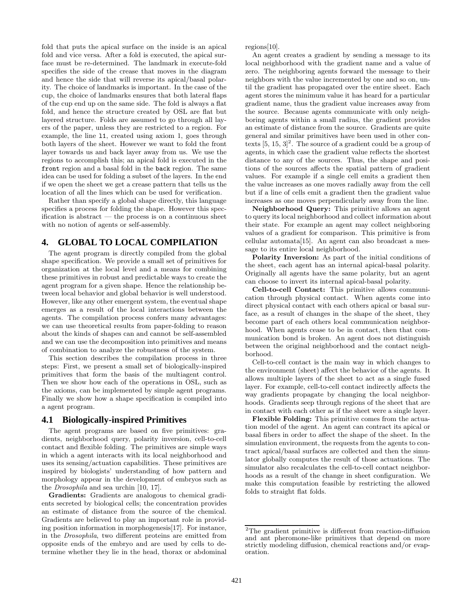fold that puts the apical surface on the inside is an apical fold and vice versa. After a fold is executed, the apical surface must be re-determined. The landmark in execute-fold specifies the side of the crease that moves in the diagram and hence the side that will reverse its apical/basal polarity. The choice of landmarks is important. In the case of the cup, the choice of landmarks ensures that both lateral flaps of the cup end up on the same side. The fold is always a flat fold, and hence the structure created by OSL are flat but layered structure. Folds are assumed to go through all layers of the paper, unless they are restricted to a region. For example, the line l1, created using axiom 1, goes through both layers of the sheet. However we want to fold the front layer towards us and back layer away from us. We use the regions to accomplish this; an apical fold is executed in the front region and a basal fold in the back region. The same idea can be used for folding a subset of the layers. In the end if we open the sheet we get a crease pattern that tells us the location of all the lines which can be used for verification.

Rather than specify a global shape directly, this language specifies a process for folding the shape. However this specification is abstract — the process is on a continuous sheet with no notion of agents or self-assembly.

# **4. GLOBAL TO LOCAL COMPILATION**

The agent program is directly compiled from the global shape specification. We provide a small set of primitives for organization at the local level and a means for combining these primitives in robust and predictable ways to create the agent program for a given shape. Hence the relationship between local behavior and global behavior is well understood. However, like any other emergent system, the eventual shape emerges as a result of the local interactions between the agents. The compilation process confers many advantages: we can use theoretical results from paper-folding to reason about the kinds of shapes can and cannot be self-assembled and we can use the decomposition into primitives and means of combination to analyze the robustness of the system.

This section describes the compilation process in three steps: First, we present a small set of biologically-inspired primitives that form the basis of the multiagent control. Then we show how each of the operations in OSL, such as the axioms, can be implemented by simple agent programs. Finally we show how a shape specification is compiled into a agent program.

### **4.1 Biologically-inspired Primitives**

The agent programs are based on five primitives: gradients, neighborhood query, polarity inversion, cell-to-cell contact and flexible folding. The primitives are simple ways in which a agent interacts with its local neighborhood and uses its sensing/actuation capabilities. These primitives are inspired by biologists' understanding of how pattern and morphology appear in the development of embryos such as the Drosophila and sea urchin [10, 17].

**Gradients:** Gradients are analogous to chemical gradients secreted by biological cells; the concentration provides an estimate of distance from the source of the chemical. Gradients are believed to play an important role in providing position information in morphogenesis[17]. For instance, in the Drosophila, two different proteins are emitted from opposite ends of the embryo and are used by cells to determine whether they lie in the head, thorax or abdominal regions[10].

An agent creates a gradient by sending a message to its local neighborhood with the gradient name and a value of zero. The neighboring agents forward the message to their neighbors with the value incremented by one and so on, until the gradient has propagated over the entire sheet. Each agent stores the minimum value it has heard for a particular gradient name, thus the gradient value increases away from the source. Because agents communicate with only neighboring agents within a small radius, the gradient provides an estimate of distance from the source. Gradients are quite general and similar primitives have been used in other contexts  $[5, 15, 3]^2$ . The source of a gradient could be a group of agents, in which case the gradient value reflects the shortest distance to any of the sources. Thus, the shape and positions of the sources affects the spatial pattern of gradient values. For example if a single cell emits a gradient then the value increases as one moves radially away from the cell but if a line of cells emit a gradient then the gradient value increases as one moves perpendicularly away from the line.

**Neighborhood Query:** This primitive allows an agent to query its local neighborhood and collect information about their state. For example an agent may collect neighboring values of a gradient for comparison. This primitive is from cellular automata[15]. An agent can also broadcast a message to its entire local neighborhood.

**Polarity Inversion:** As part of the initial conditions of the sheet, each agent has an internal apical-basal polarity. Originally all agents have the same polarity, but an agent can choose to invert its internal apical-basal polarity.

**Cell-to-cell Contact:** This primitive allows communication through physical contact. When agents come into direct physical contact with each others apical or basal surface, as a result of changes in the shape of the sheet, they become part of each others local communication neighborhood. When agents cease to be in contact, then that communication bond is broken. An agent does not distinguish between the original neighborhood and the contact neighborhood.

Cell-to-cell contact is the main way in which changes to the environment (sheet) affect the behavior of the agents. It allows multiple layers of the sheet to act as a single fused layer. For example, cell-to-cell contact indirectly affects the way gradients propagate by changing the local neighborhoods. Gradients seep through regions of the sheet that are in contact with each other as if the sheet were a single layer.

**Flexible Folding:** This primitive comes from the actuation model of the agent. An agent can contract its apical or basal fibers in order to affect the shape of the sheet. In the simulation environment, the requests from the agents to contract apical/basal surfaces are collected and then the simulator globally computes the result of those actuations. The simulator also recalculates the cell-to-cell contact neighborhoods as a result of the change in sheet configuration. We make this computation feasible by restricting the allowed folds to straight flat folds.

<sup>2</sup>The gradient primitive is different from reaction-diffusion and ant pheromone-like primitives that depend on more strictly modeling diffusion, chemical reactions and/or evaporation.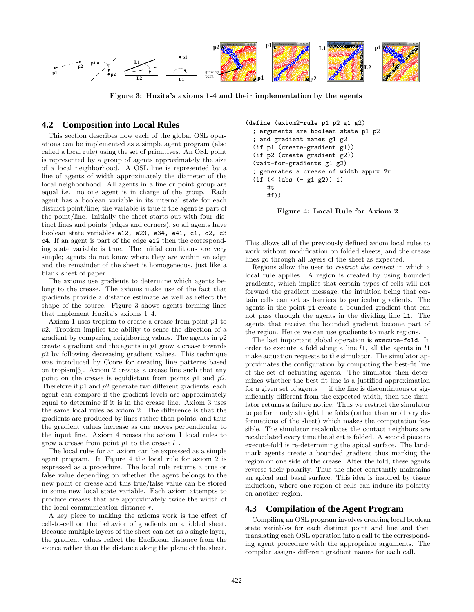

**Figure 3: Huzita's axioms 1-4 and their implementation by the agents**

### **4.2 Composition into Local Rules**

This section describes how each of the global OSL operations can be implemented as a simple agent program (also called a local rule) using the set of primitives. An OSL point is represented by a group of agents approximately the size of a local neighborhood. A OSL line is represented by a line of agents of width approximately the diameter of the local neighborhood. All agents in a line or point group are equal i.e. no one agent is in charge of the group. Each agent has a boolean variable in its internal state for each distinct point/line; the variable is true if the agent is part of the point/line. Initially the sheet starts out with four distinct lines and points (edges and corners), so all agents have boolean state variables e12, e23, e34, e41, c1, c2, c3 c4. If an agent is part of the edge e12 then the corresponding state variable is true. The initial conditions are very simple; agents do not know where they are within an edge and the remainder of the sheet is homogeneous, just like a blank sheet of paper.

The axioms use gradients to determine which agents belong to the crease. The axioms make use of the fact that gradients provide a distance estimate as well as reflect the shape of the source. Figure 3 shows agents forming lines that implement Huzita's axioms 1–4.

Axiom 1 uses tropism to create a crease from point *p*1 to *p*2. Tropism implies the ability to sense the direction of a gradient by comparing neighboring values. The agents in *p*2 create a gradient and the agents in *p*1 grow a crease towards *p*2 by following decreasing gradient values. This technique was introduced by Coore for creating line patterns based on tropism[3]. Axiom 2 creates a crease line such that any point on the crease is equidistant from points *p*1 and *p*2. Therefore if *p*1 and *p*2 generate two different gradients, each agent can compare if the gradient levels are approximately equal to determine if it is in the crease line. Axiom 3 uses the same local rules as axiom 2. The difference is that the gradients are produced by lines rather than points, and thus the gradient values increase as one moves perpendicular to the input line. Axiom 4 reuses the axiom 1 local rules to grow a crease from point *p*1 to the crease *l*1.

The local rules for an axiom can be expressed as a simple agent program. In Figure 4 the local rule for axiom 2 is expressed as a procedure. The local rule returns a true or false value depending on whether the agent belongs to the new point or crease and this true/false value can be stored in some new local state variable. Each axiom attempts to produce creases that are approximately twice the width of the local communication distance *r*.

A key piece to making the axioms work is the effect of cell-to-cell on the behavior of gradients on a folded sheet. Because multiple layers of the sheet can act as a single layer, the gradient values reflect the Euclidean distance from the source rather than the distance along the plane of the sheet.

```
(define (axiom2-rule p1 p2 g1 g2)
 ; arguments are boolean state p1 p2
 ; and gradient names g1 g2
 (if p1 (create-gradient g1))
 (if p2 (create-gradient g2))
 (wait-for-gradients g1 g2)
 ; generates a crease of width apprx 2r
 (if (< (abs (- g1 g2)) 1)
     #t
     #f))
```
**Figure 4: Local Rule for Axiom 2**

This allows all of the previously defined axiom local rules to work without modification on folded sheets, and the crease lines go through all layers of the sheet as expected.

Regions allow the user to restrict the context in which a local rule applies. A region is created by using bounded gradients, which implies that certain types of cells will not forward the gradient message; the intuition being that certain cells can act as barriers to particular gradients. The agents in the point p1 create a bounded gradient that can not pass through the agents in the dividing line l1. The agents that receive the bounded gradient become part of the region. Hence we can use gradients to mark regions.

The last important global operation is execute-fold. In order to execute a fold along a line *l*1, all the agents in *l*1 make actuation requests to the simulator. The simulator approximates the configuration by computing the best-fit line of the set of actuating agents. The simulator then determines whether the best-fit line is a justified approximation for a given set of agents — if the line is discontinuous or significantly different from the expected width, then the simulator returns a failure notice. Thus we restrict the simulator to perform only straight line folds (rather than arbitrary deformations of the sheet) which makes the computation feasible. The simulator recalculates the contact neighbors are recalculated every time the sheet is folded. A second piece to execute-fold is re-determining the apical surface. The landmark agents create a bounded gradient thus marking the region on one side of the crease. After the fold, these agents reverse their polarity. Thus the sheet constantly maintains an apical and basal surface. This idea is inspired by tissue induction, where one region of cells can induce its polarity on another region.

### **4.3 Compilation of the Agent Program**

Compiling an OSL program involves creating local boolean state variables for each distinct point and line and then translating each OSL operation into a call to the corresponding agent procedure with the appropriate arguments. The compiler assigns different gradient names for each call.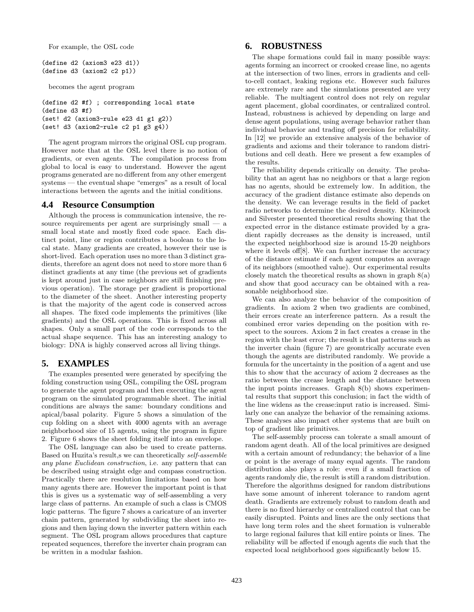For example, the OSL code

```
(define d2 (axiom3 e23 d1))
(define d3 (axiom2 c2 p1))
```
becomes the agent program

```
(define d2 #f) ; corresponding local state
(define d3 #f)
(set! d2 (axiom3-rule e23 d1 g1 g2))
(set! d3 (axiom2-rule c2 p1 g3 g4))
```
The agent program mirrors the original OSL cup program. However note that at the OSL level there is no notion of gradients, or even agents. The compilation process from global to local is easy to understand. However the agent programs generated are no different from any other emergent systems — the eventual shape "emerges" as a result of local interactions between the agents and the initial conditions.

#### **4.4 Resource Consumption**

Although the process is communication intensive, the resource requirements per agent are surprisingly small — a small local state and mostly fixed code space. Each distinct point, line or region contributes a boolean to the local state. Many gradients are created, however their use is short-lived. Each operation uses no more than 3 distinct gradients, therefore an agent does not need to store more than 6 distinct gradients at any time (the previous set of gradients is kept around just in case neighbors are still finishing previous operation). The storage per gradient is proportional to the diameter of the sheet. Another interesting property is that the majority of the agent code is conserved across all shapes. The fixed code implements the primitives (like gradients) and the OSL operations. This is fixed across all shapes. Only a small part of the code corresponds to the actual shape sequence. This has an interesting analogy to biology: DNA is highly conserved across all living things.

### **5. EXAMPLES**

The examples presented were generated by specifying the folding construction using OSL, compiling the OSL program to generate the agent program and then executing the agent program on the simulated programmable sheet. The initial conditions are always the same: boundary conditions and apical/basal polarity. Figure 5 shows a simulation of the cup folding on a sheet with 4000 agents with an average neighborhood size of 15 agents, using the program in figure 2. Figure 6 shows the sheet folding itself into an envelope.

The OSL language can also be used to create patterns. Based on Huzita's result,s we can theoretically self-assemble any plane Euclidean construction, i.e. any pattern that can be described using straight edge and compass construction. Practically there are resolution limitations based on how many agents there are. However the important point is that this is gives us a systematic way of self-assembling a very large class of patterns. An example of such a class is CMOS logic patterns. The figure 7 shows a caricature of an inverter chain pattern, generated by subdividing the sheet into regions and then laying down the inverter pattern within each segment. The OSL program allows procedures that capture repeated sequences, therefore the inverter chain program can be written in a modular fashion.

## **6. ROBUSTNESS**

The shape formations could fail in many possible ways: agents forming an incorrect or crooked crease line, no agents at the intersection of two lines, errors in gradients and cellto-cell contact, leaking regions etc. However such failures are extremely rare and the simulations presented are very reliable. The multiagent control does not rely on regular agent placement, global coordinates, or centralized control. Instead, robustness is achieved by depending on large and dense agent populations, using average behavior rather than individual behavior and trading off precision for reliability. In [12] we provide an extensive analysis of the behavior of gradients and axioms and their tolerance to random distributions and cell death. Here we present a few examples of the results.

The reliability depends critically on density. The probability that an agent has no neighbors or that a large region has no agents, should be extremely low. In addition, the accuracy of the gradient distance estimate also depends on the density. We can leverage results in the field of packet radio networks to determine the desired density. Kleinrock and Silvester presented theoretical results showing that the expected error in the distance estimate provided by a gradient rapidly decreases as the density is increased, until the expected neighborhood size is around 15-20 neighbors where it levels of [8]. We can further increase the accuracy of the distance estimate if each agent computes an average of its neighbors (smoothed value). Our experimental results closely match the theoretical results as shown in graph 8(a) and show that good accuracy can be obtained with a reasonable neighborhood size.

We can also analyze the behavior of the composition of gradients. In axiom 2 when two gradients are combined, their errors create an interference pattern. As a result the combined error varies depending on the position with respect to the sources. Axiom 2 in fact creates a crease in the region with the least error; the result is that patterns such as the inverter chain (figure 7) are geomtrically accurate even though the agents are distributed randomly. We provide a formula for the uncertainty in the position of a agent and use this to show that the accuracy of axiom 2 decreases as the ratio between the crease length and the distance between the input points increases. Graph 8(b) shows experimental results that support this conclusion; in fact the width of the line widens as the crease:input ratio is increased. Similarly one can analyze the behavior of the remaining axioms. These analyses also impact other systems that are built on top of gradient like primitives.

The self-assembly process can tolerate a small amount of random agent death. All of the local primitives are designed with a certain amount of redundancy; the behavior of a line or point is the average of many equal agents. The random distribution also plays a role: even if a small fraction of agents randomly die, the result is still a random distribution. Therefore the algorithms designed for random distributions have some amount of inherent tolerance to random agent death. Gradients are extremely robust to random death and there is no fixed hierarchy or centralized control that can be easily disrupted. Points and lines are the only sections that have long term roles and the sheet formation is vulnerable to large regional failures that kill entire points or lines. The reliability will be affected if enough agents die such that the expected local neighborhood goes significantly below 15.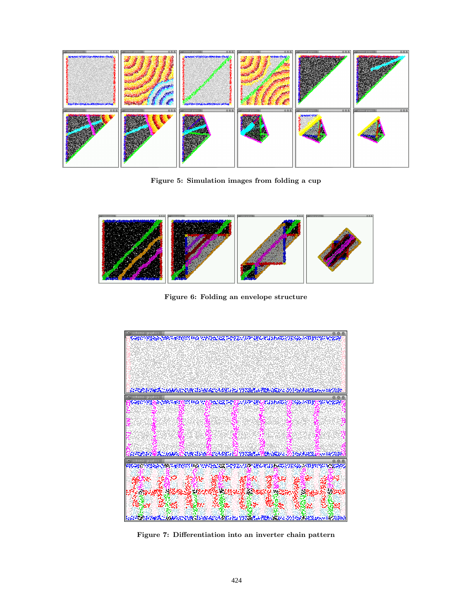

**Figure 5: Simulation images from folding a cup**



**Figure 6: Folding an envelope structure**



**Figure 7: Differentiation into an inverter chain pattern**